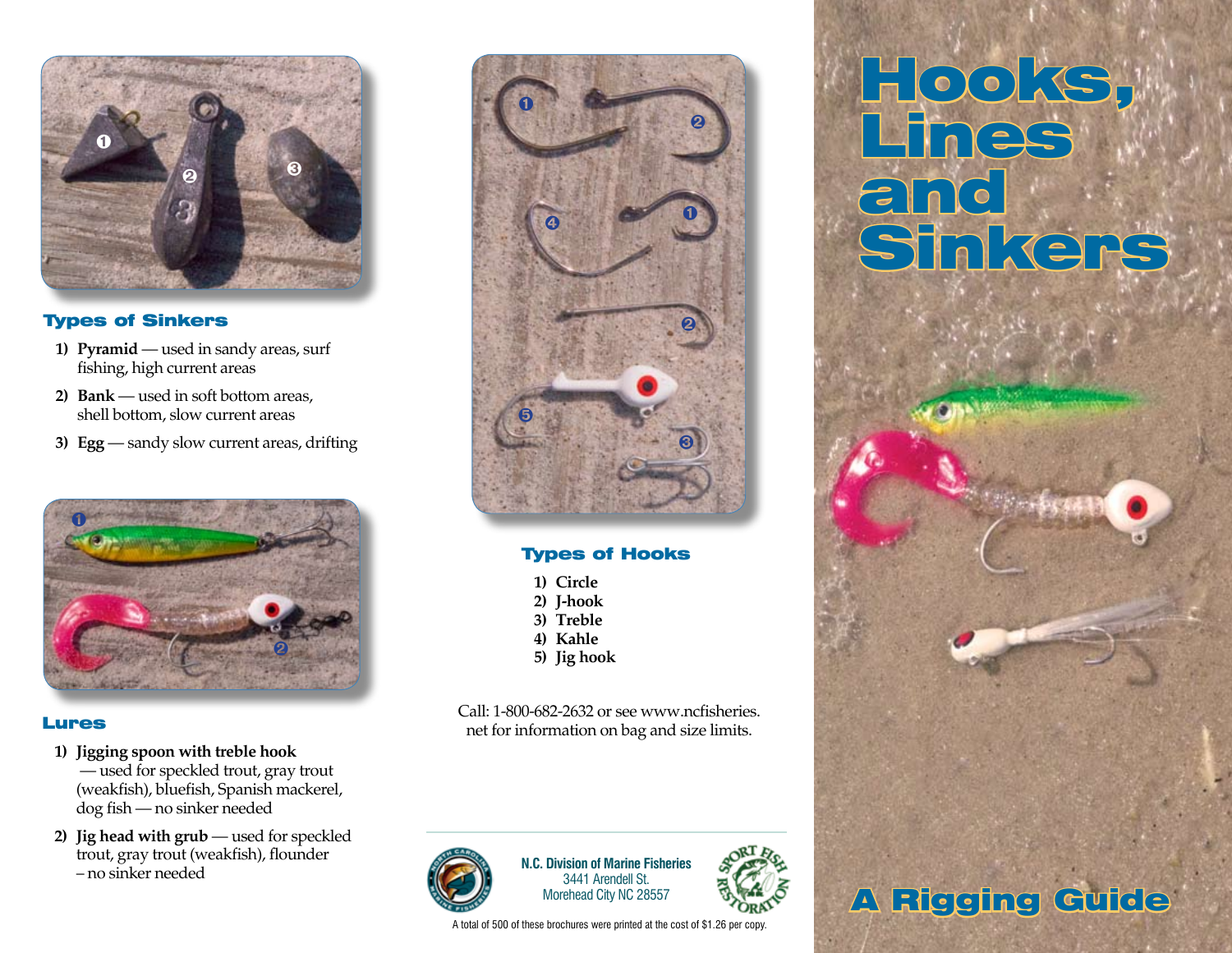

# Types of Sinkers

- 1) Pyramid used in sandy areas, surf fishing, high current areas
- **2) Bank**  used in soft bottom areas, shell bottom, slow current areas
- **3) Egg** sandy slow current areas, drifting



# Lures

- **1) Jigging spoon with treble hook** — used for speckled trout, gray trout (weakfish), bluefish, Spanish mackerel, dog fish — no sinker needed
- **2) Jig head with grub** used for speckled trout, gray trout (weakfish), flounder – no sinker needed



# Types of Hooks

- **1) Circle**
- **2) J-hook**
- **3) Treble**
- **4) Kahle**
- **5) Jig hook**

Call: 1-800-682-2632 or see www.ncfisheries. net for information on bag and size limits.



**N.C. Division of Marine Fisheries** 3441 Arendell St. Morehead City NC 28557

A total of 500 of these brochures were printed at the cost of \$1.26 per copy.



# Hooks, Lines and Sinkers